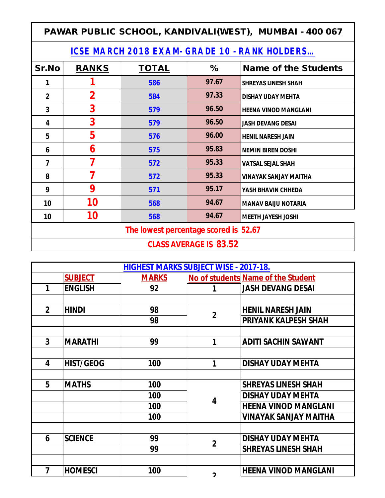| PAWAR PUBLIC SCHOOL, KANDIVALI(WEST), MUMBAI - 400 067 |              |              |       |                              |  |  |  |  |
|--------------------------------------------------------|--------------|--------------|-------|------------------------------|--|--|--|--|
| <b>ICSE MARCH 2018 EXAM- GRADE 10 - RANK HOLDERS</b>   |              |              |       |                              |  |  |  |  |
| Sr.No                                                  | <b>RANKS</b> | <b>TOTAL</b> | %     | <b>Name of the Students</b>  |  |  |  |  |
| 1                                                      |              | 586          | 97.67 | <b>SHREYAS LINESH SHAH</b>   |  |  |  |  |
| $\overline{2}$                                         | $\mathbf 2$  | 584          | 97.33 | <b>DISHAY UDAY MEHTA</b>     |  |  |  |  |
| 3                                                      | 3            | 579          | 96.50 | <b>HEENA VINOD MANGLANI</b>  |  |  |  |  |
| 4                                                      | 3            | 579          | 96.50 | <b>JASH DEVANG DESAI</b>     |  |  |  |  |
| 5                                                      | 5            | 576          | 96.00 | <b>HENIL NARESH JAIN</b>     |  |  |  |  |
| 6                                                      | 6            | 575          | 95.83 | <b>NEMIN BIREN DOSHI</b>     |  |  |  |  |
| 7                                                      | 7            | 572          | 95.33 | <b>VATSAL SEJAL SHAH</b>     |  |  |  |  |
| 8                                                      | 7            | 572          | 95.33 | <b>VINAYAK SANJAY MAITHA</b> |  |  |  |  |
| 9                                                      | 9            | 571          | 95.17 | YASH BHAVIN CHHEDA           |  |  |  |  |
| 10                                                     | 10           | 568          | 94.67 | <b>MANAV BAIJU NOTARIA</b>   |  |  |  |  |
| 10                                                     | 10           | 568          | 94.67 | <b>MEETH JAYESH JOSHI</b>    |  |  |  |  |
| The lowest percentage scored is 52.67                  |              |              |       |                              |  |  |  |  |
| <b>CLASS AVERAGE IS 83.52</b>                          |              |              |       |                              |  |  |  |  |

| <b>HIGHEST MARKS SUBJECT WISE - 2017-18.</b> |                  |              |                |                                    |  |
|----------------------------------------------|------------------|--------------|----------------|------------------------------------|--|
|                                              | <b>SUBJECT</b>   | <b>MARKS</b> |                | No of students Name of the Student |  |
| 1                                            | <b>ENGLISH</b>   | 92           |                | <b>JASH DEVANG DESAI</b>           |  |
|                                              |                  |              |                |                                    |  |
| $\overline{2}$                               | <b>HINDI</b>     | 98           | $\mathbf{2}$   | <b>HENIL NARESH JAIN</b>           |  |
|                                              |                  | 98           |                | <b>PRIYANK KALPESH SHAH</b>        |  |
|                                              |                  |              |                |                                    |  |
| 3                                            | <b>MARATHI</b>   | 99           | 1              | <b>ADITI SACHIN SAWANT</b>         |  |
|                                              |                  |              |                |                                    |  |
| 4                                            | <b>HIST/GEOG</b> | 100          | 1              | <b>DISHAY UDAY MEHTA</b>           |  |
|                                              |                  |              |                |                                    |  |
| 5                                            | <b>MATHS</b>     | 100          | 4              | <b>SHREYAS LINESH SHAH</b>         |  |
|                                              |                  | 100          |                | <b>DISHAY UDAY MEHTA</b>           |  |
|                                              |                  | 100          |                | <b>HEENA VINOD MANGLANI</b>        |  |
|                                              |                  | 100          |                | VINAYAK SANJAY MAITHA              |  |
|                                              |                  |              |                |                                    |  |
| 6                                            | <b>SCIENCE</b>   | 99           | $\overline{2}$ | <b>DISHAY UDAY MEHTA</b>           |  |
|                                              |                  | 99           |                | <b>SHREYAS LINESH SHAH</b>         |  |
|                                              |                  |              |                |                                    |  |
| 7                                            | <b>HOMESCI</b>   | 100          | າ              | <b>HEENA VINOD MANGLANI</b>        |  |
|                                              |                  |              |                |                                    |  |